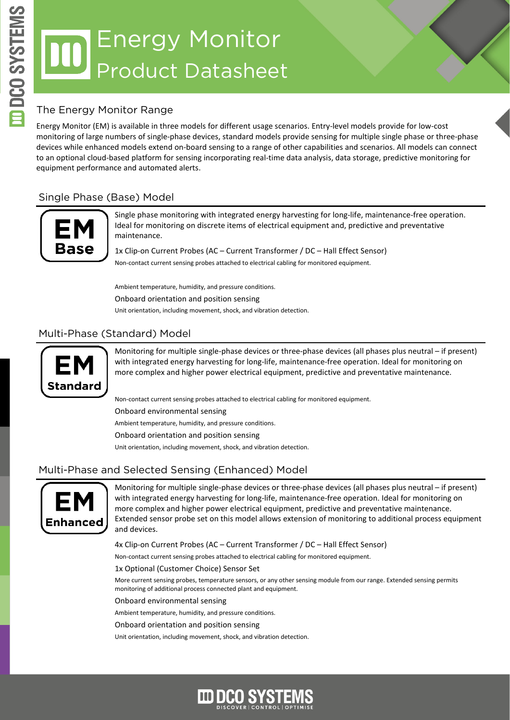# Energy Monitor Product Datasheet

## The Energy Monitor Range

Energy Monitor (EM) is available in three models for different usage scenarios. Entry-level models provide for low-cost monitoring of large numbers of single-phase devices, standard models provide sensing for multiple single phase or three-phase devices while enhanced models extend on-board sensing to a range of other capabilities and scenarios. All models can connect to an optional cloud-based platform for sensing incorporating real-time data analysis, data storage, predictive monitoring for equipment performance and automated alerts.

## Single Phase (Base) Model



Single phase monitoring with integrated energy harvesting for long-life, maintenance-free operation. Ideal for monitoring on discrete items of electrical equipment and, predictive and preventative maintenance.

1x Clip-on Current Probes (AC – Current Transformer / DC – Hall Effect Sensor) Non-contact current sensing probes attached to electrical cabling for monitored equipment.

Ambient temperature, humidity, and pressure conditions. Onboard orientation and position sensing Unit orientation, including movement, shock, and vibration detection.

### Multi-Phase (Standard) Model



Monitoring for multiple single-phase devices or three-phase devices (all phases plus neutral – if present) with integrated energy harvesting for long-life, maintenance-free operation. Ideal for monitoring on more complex and higher power electrical equipment, predictive and preventative maintenance.

Non-contact current sensing probes attached to electrical cabling for monitored equipment. Onboard environmental sensing Ambient temperature, humidity, and pressure conditions. Onboard orientation and position sensing

Unit orientation, including movement, shock, and vibration detection.

#### Multi-Phase and Selected Sensing (Enhanced) Model



Monitoring for multiple single-phase devices or three-phase devices (all phases plus neutral – if present) with integrated energy harvesting for long-life, maintenance-free operation. Ideal for monitoring on more complex and higher power electrical equipment, predictive and preventative maintenance. Extended sensor probe set on this model allows extension of monitoring to additional process equipment and devices.

4x Clip-on Current Probes (AC – Current Transformer / DC – Hall Effect Sensor)

Non-contact current sensing probes attached to electrical cabling for monitored equipment.

1x Optional (Customer Choice) Sensor Set

More current sensing probes, temperature sensors, or any other sensing module from our range. Extended sensing permits monitoring of additional process connected plant and equipment.

Onboard environmental sensing

Ambient temperature, humidity, and pressure conditions.

Onboard orientation and position sensing

Unit orientation, including movement, shock, and vibration detection.

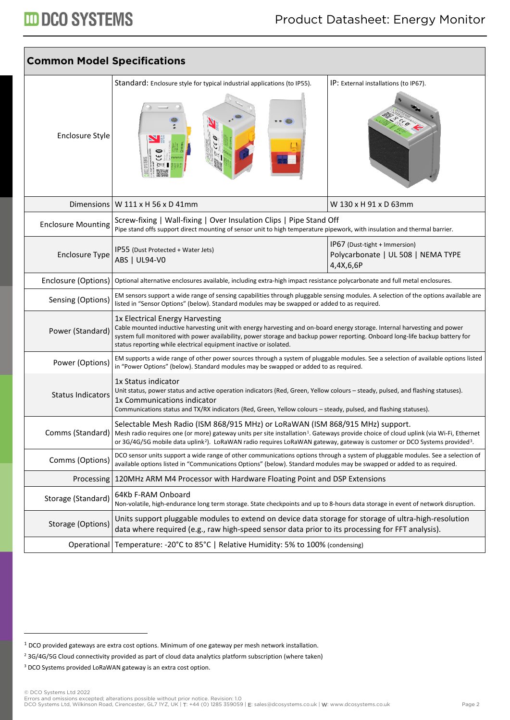| <b>Common Model Specifications</b> |                                                                                                                                                                                                                                                                                                                                                                                         |                                                                                  |  |
|------------------------------------|-----------------------------------------------------------------------------------------------------------------------------------------------------------------------------------------------------------------------------------------------------------------------------------------------------------------------------------------------------------------------------------------|----------------------------------------------------------------------------------|--|
| Enclosure Style                    | Standard: Enclosure style for typical industrial applications (to IP55).                                                                                                                                                                                                                                                                                                                | IP: External installations (to IP67).                                            |  |
|                                    | Dimensions   W $111 \times H$ 56 x D 41mm                                                                                                                                                                                                                                                                                                                                               | W 130 x H 91 x D 63mm                                                            |  |
| <b>Enclosure Mounting</b>          | Screw-fixing   Wall-fixing   Over Insulation Clips   Pipe Stand Off<br>Pipe stand offs support direct mounting of sensor unit to high temperature pipework, with insulation and thermal barrier.                                                                                                                                                                                        |                                                                                  |  |
| <b>Enclosure Type</b>              | IP55 (Dust Protected + Water Jets)<br>ABS   UL94-V0                                                                                                                                                                                                                                                                                                                                     | IP67 (Dust-tight + Immersion)<br>Polycarbonate   UL 508   NEMA TYPE<br>4,4X,6,6P |  |
| Enclosure (Options)                | Optional alternative enclosures available, including extra-high impact resistance polycarbonate and full metal enclosures.                                                                                                                                                                                                                                                              |                                                                                  |  |
| Sensing (Options)                  | EM sensors support a wide range of sensing capabilities through pluggable sensing modules. A selection of the options available are<br>listed in "Sensor Options" (below). Standard modules may be swapped or added to as required.                                                                                                                                                     |                                                                                  |  |
| Power (Standard)                   | 1x Electrical Energy Harvesting<br>Cable mounted inductive harvesting unit with energy harvesting and on-board energy storage. Internal harvesting and power<br>system full monitored with power availability, power storage and backup power reporting. Onboard long-life backup battery for<br>status reporting while electrical equipment inactive or isolated.                      |                                                                                  |  |
| Power (Options)                    | EM supports a wide range of other power sources through a system of pluggable modules. See a selection of available options listed<br>in "Power Options" (below). Standard modules may be swapped or added to as required.                                                                                                                                                              |                                                                                  |  |
| <b>Status Indicators</b>           | 1x Status indicator<br>Unit status, power status and active operation indicators (Red, Green, Yellow colours - steady, pulsed, and flashing statuses).<br>1x Communications indicator<br>Communications status and TX/RX indicators (Red, Green, Yellow colours - steady, pulsed, and flashing statuses).                                                                               |                                                                                  |  |
| Comms (Standard)                   | Selectable Mesh Radio (ISM 868/915 MHz) or LoRaWAN (ISM 868/915 MHz) support.<br>Mesh radio requires one (or more) gateway units per site installation <sup>1</sup> . Gateways provide choice of cloud uplink (via Wi-Fi, Ethernet<br>or 3G/4G/5G mobile data uplink <sup>2</sup> ). LoRaWAN radio requires LoRaWAN gateway, gateway is customer or DCO Systems provided <sup>3</sup> . |                                                                                  |  |
| Comms (Options)                    | DCO sensor units support a wide range of other communications options through a system of pluggable modules. See a selection of<br>available options listed in "Communications Options" (below). Standard modules may be swapped or added to as required.                                                                                                                               |                                                                                  |  |
|                                    | Processing   120MHz ARM M4 Processor with Hardware Floating Point and DSP Extensions                                                                                                                                                                                                                                                                                                    |                                                                                  |  |
| Storage (Standard)                 | 64Kb F-RAM Onboard<br>Non-volatile, high-endurance long term storage. State checkpoints and up to 8-hours data storage in event of network disruption.                                                                                                                                                                                                                                  |                                                                                  |  |
| Storage (Options)                  | Units support pluggable modules to extend on device data storage for storage of ultra-high-resolution<br>data where required (e.g., raw high-speed sensor data prior to its processing for FFT analysis).                                                                                                                                                                               |                                                                                  |  |
| Operational                        | Temperature: -20°C to 85°C   Relative Humidity: 5% to 100% (condensing)                                                                                                                                                                                                                                                                                                                 |                                                                                  |  |

<span id="page-1-0"></span><sup>1</sup> DCO provided gateways are extra cost options. Minimum of one gateway per mesh network installation.

<span id="page-1-1"></span><sup>&</sup>lt;sup>2</sup> 3G/4G/5G Cloud connectivity provided as part of cloud data analytics platform subscription (where taken)

<span id="page-1-2"></span><sup>&</sup>lt;sup>3</sup> DCO Systems provided LoRaWAN gateway is an extra cost option.